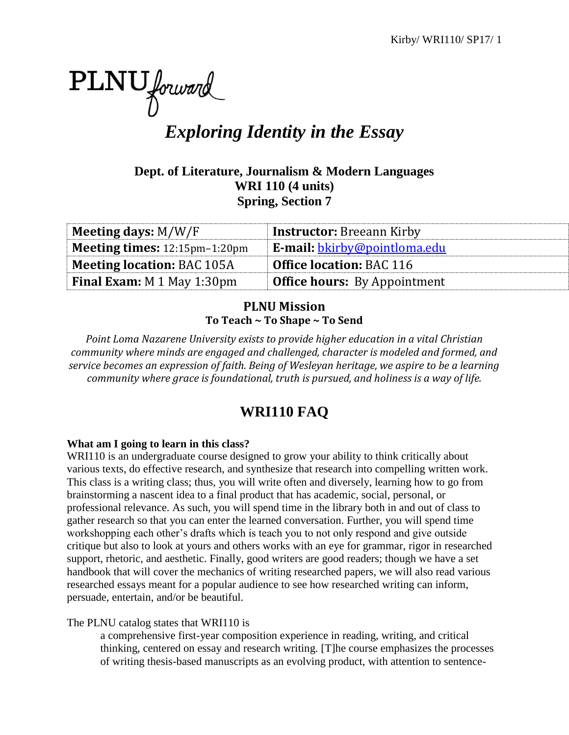

# *Exploring Identity in the Essay*

**Dept. of Literature, Journalism & Modern Languages WRI 110 (4 units) Spring, Section 7**

| Meeting days: $M/W/F$             | <b>Instructor: Breeann Kirby</b>    |
|-----------------------------------|-------------------------------------|
| Meeting times: 12:15pm-1:20pm     | <b>E-mail:</b> bkirby@pointloma.edu |
| <b>Meeting location: BAC 105A</b> | <b>Office location: BAC 116</b>     |
| <b>Final Exam:</b> M 1 May 1:30pm | <b>Office hours:</b> By Appointment |

## **PLNU Mission To Teach ~ To Shape ~ To Send**

*Point Loma Nazarene University exists to provide higher education in a vital Christian community where minds are engaged and challenged, character is modeled and formed, and service becomes an expression of faith. Being of Wesleyan heritage, we aspire to be a learning community where grace is foundational, truth is pursued, and holiness is a way of life.*

## **WRI110 FAQ**

## **What am I going to learn in this class?**

WRI110 is an undergraduate course designed to grow your ability to think critically about various texts, do effective research, and synthesize that research into compelling written work. This class is a writing class; thus, you will write often and diversely, learning how to go from brainstorming a nascent idea to a final product that has academic, social, personal, or professional relevance. As such, you will spend time in the library both in and out of class to gather research so that you can enter the learned conversation. Further, you will spend time workshopping each other's drafts which is teach you to not only respond and give outside critique but also to look at yours and others works with an eye for grammar, rigor in researched support, rhetoric, and aesthetic. Finally, good writers are good readers; though we have a set handbook that will cover the mechanics of writing researched papers, we will also read various researched essays meant for a popular audience to see how researched writing can inform, persuade, entertain, and/or be beautiful.

## The PLNU catalog states that WRI110 is

a comprehensive first-year composition experience in reading, writing, and critical thinking, centered on essay and research writing. [T]he course emphasizes the processes of writing thesis-based manuscripts as an evolving product, with attention to sentence-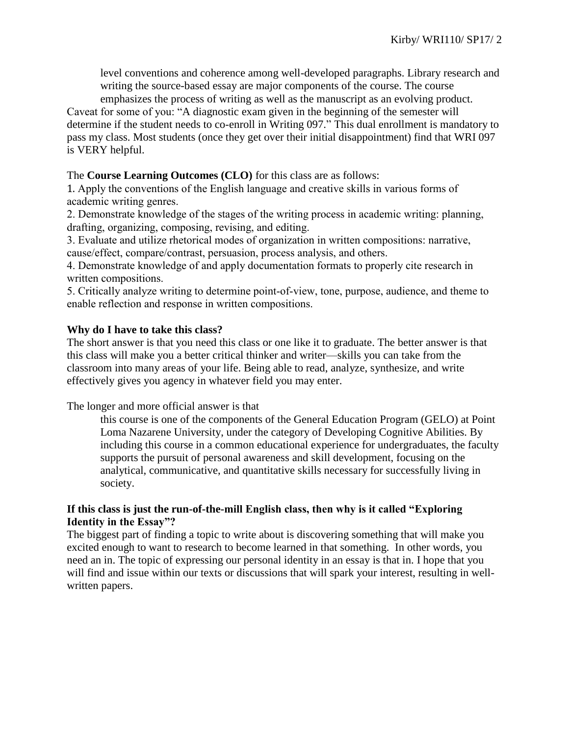level conventions and coherence among well-developed paragraphs. Library research and writing the source-based essay are major components of the course. The course emphasizes the process of writing as well as the manuscript as an evolving product.

Caveat for some of you: "A diagnostic exam given in the beginning of the semester will determine if the student needs to co-enroll in Writing 097." This dual enrollment is mandatory to pass my class. Most students (once they get over their initial disappointment) find that WRI 097 is VERY helpful.

#### The **Course Learning Outcomes (CLO)** for this class are as follows:

1. Apply the conventions of the English language and creative skills in various forms of academic writing genres.

2. Demonstrate knowledge of the stages of the writing process in academic writing: planning, drafting, organizing, composing, revising, and editing.

3. Evaluate and utilize rhetorical modes of organization in written compositions: narrative, cause/effect, compare/contrast, persuasion, process analysis, and others.

4. Demonstrate knowledge of and apply documentation formats to properly cite research in written compositions.

5. Critically analyze writing to determine point-of-view, tone, purpose, audience, and theme to enable reflection and response in written compositions.

#### **Why do I have to take this class?**

The short answer is that you need this class or one like it to graduate. The better answer is that this class will make you a better critical thinker and writer—skills you can take from the classroom into many areas of your life. Being able to read, analyze, synthesize, and write effectively gives you agency in whatever field you may enter.

The longer and more official answer is that

this course is one of the components of the General Education Program (GELO) at Point Loma Nazarene University, under the category of Developing Cognitive Abilities. By including this course in a common educational experience for undergraduates, the faculty supports the pursuit of personal awareness and skill development, focusing on the analytical, communicative, and quantitative skills necessary for successfully living in society.

#### **If this class is just the run-of-the-mill English class, then why is it called "Exploring Identity in the Essay"?**

The biggest part of finding a topic to write about is discovering something that will make you excited enough to want to research to become learned in that something. In other words, you need an in. The topic of expressing our personal identity in an essay is that in. I hope that you will find and issue within our texts or discussions that will spark your interest, resulting in wellwritten papers.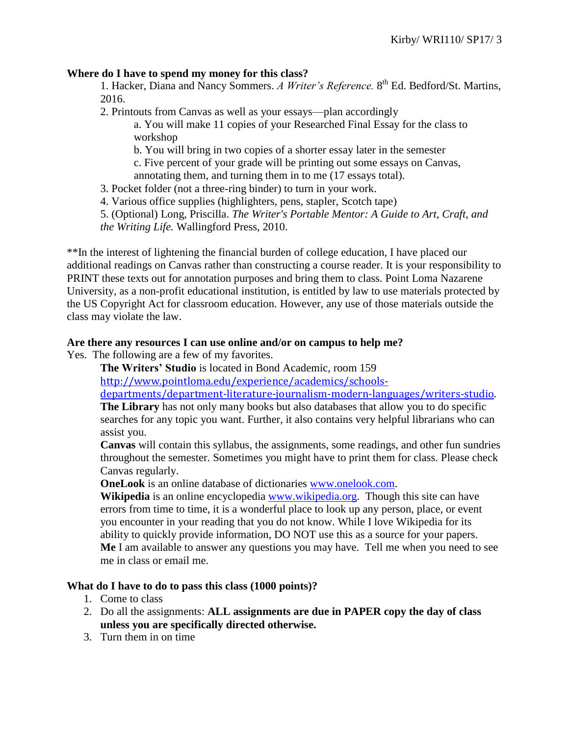#### **Where do I have to spend my money for this class?**

1. Hacker, Diana and Nancy Sommers. *A Writer's Reference.* 8 th Ed. Bedford/St. Martins, 2016.

2. Printouts from Canvas as well as your essays—plan accordingly

a. You will make 11 copies of your Researched Final Essay for the class to workshop

b. You will bring in two copies of a shorter essay later in the semester

c. Five percent of your grade will be printing out some essays on Canvas, annotating them, and turning them in to me (17 essays total).

3. Pocket folder (not a three-ring binder) to turn in your work.

4. Various office supplies (highlighters, pens, stapler, Scotch tape)

5. (Optional) Long, Priscilla. *The Writer's Portable Mentor: A Guide to Art, Craft, and the Writing Life.* Wallingford Press, 2010.

\*\*In the interest of lightening the financial burden of college education, I have placed our additional readings on Canvas rather than constructing a course reader. It is your responsibility to PRINT these texts out for annotation purposes and bring them to class. Point Loma Nazarene University, as a non-profit educational institution, is entitled by law to use materials protected by the US Copyright Act for classroom education. However, any use of those materials outside the class may violate the law.

#### **Are there any resources I can use online and/or on campus to help me?**

Yes. The following are a few of my favorites.

**The Writers' Studio** is located in Bond Academic, room 159

[http://www.pointloma.edu/experience/academics/schools-](http://www.pointloma.edu/experience/academics/schools-departments/department-literature-journalism-modern-languages/writers-studio)

[departments/department-literature-journalism-modern-languages/writers-studio.](http://www.pointloma.edu/experience/academics/schools-departments/department-literature-journalism-modern-languages/writers-studio)

**The Library** has not only many books but also databases that allow you to do specific searches for any topic you want. Further, it also contains very helpful librarians who can assist you.

**Canvas** will contain this syllabus, the assignments, some readings, and other fun sundries throughout the semester. Sometimes you might have to print them for class. Please check Canvas regularly.

**OneLook** is an online database of dictionaries [www.onelook.com.](http://www.onelook.com/)

**Wikipedia** is an online encyclopedia [www.wikipedia.org.](http://www.wikipedia.org/) Though this site can have errors from time to time, it is a wonderful place to look up any person, place, or event you encounter in your reading that you do not know. While I love Wikipedia for its ability to quickly provide information, DO NOT use this as a source for your papers. **Me** I am available to answer any questions you may have. Tell me when you need to see me in class or email me.

#### **What do I have to do to pass this class (1000 points)?**

- 1. Come to class
- 2. Do all the assignments: **ALL assignments are due in PAPER copy the day of class unless you are specifically directed otherwise.**
- 3. Turn them in on time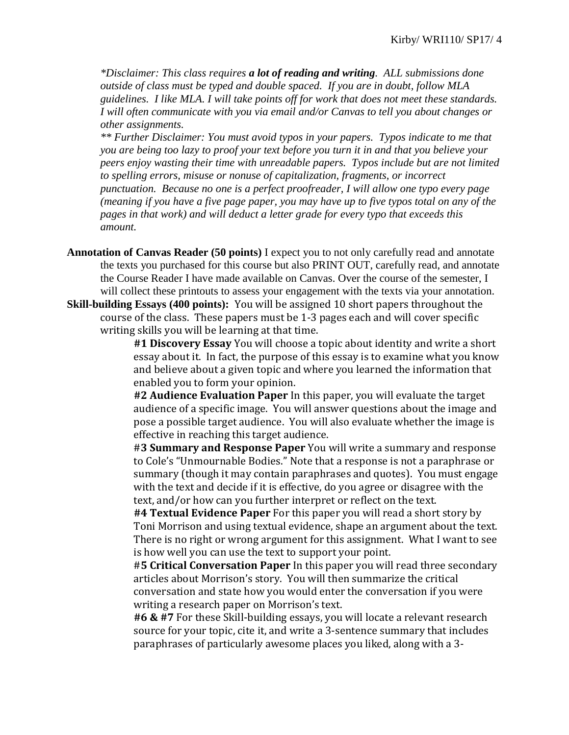*\*Disclaimer: This class requires a lot of reading and writing. ALL submissions done outside of class must be typed and double spaced. If you are in doubt, follow MLA guidelines. I like MLA. I will take points off for work that does not meet these standards. I will often communicate with you via email and/or Canvas to tell you about changes or other assignments.* 

*\*\* Further Disclaimer: You must avoid typos in your papers. Typos indicate to me that you are being too lazy to proof your text before you turn it in and that you believe your peers enjoy wasting their time with unreadable papers. Typos include but are not limited to spelling errors, misuse or nonuse of capitalization, fragments, or incorrect punctuation. Because no one is a perfect proofreader, I will allow one typo every page (meaning if you have a five page paper, you may have up to five typos total on any of the pages in that work) and will deduct a letter grade for every typo that exceeds this amount.*

- **Annotation of Canvas Reader (50 points)** I expect you to not only carefully read and annotate the texts you purchased for this course but also PRINT OUT, carefully read, and annotate the Course Reader I have made available on Canvas. Over the course of the semester, I will collect these printouts to assess your engagement with the texts via your annotation.
- **Skill-building Essays (400 points):** You will be assigned 10 short papers throughout the course of the class. These papers must be 1-3 pages each and will cover specific writing skills you will be learning at that time.

**#1 Discovery Essay** You will choose a topic about identity and write a short essay about it. In fact, the purpose of this essay is to examine what you know and believe about a given topic and where you learned the information that enabled you to form your opinion.

**#2 Audience Evaluation Paper** In this paper, you will evaluate the target audience of a specific image. You will answer questions about the image and pose a possible target audience. You will also evaluate whether the image is effective in reaching this target audience.

#**3 Summary and Response Paper** You will write a summary and response to Cole's "Unmournable Bodies." Note that a response is not a paraphrase or summary (though it may contain paraphrases and quotes). You must engage with the text and decide if it is effective, do you agree or disagree with the text, and/or how can you further interpret or reflect on the text.

**#4 Textual Evidence Paper** For this paper you will read a short story by Toni Morrison and using textual evidence, shape an argument about the text. There is no right or wrong argument for this assignment. What I want to see is how well you can use the text to support your point.

#**5 Critical Conversation Paper** In this paper you will read three secondary articles about Morrison's story. You will then summarize the critical conversation and state how you would enter the conversation if you were writing a research paper on Morrison's text.

**#6 & #7** For these Skill-building essays, you will locate a relevant research source for your topic, cite it, and write a 3-sentence summary that includes paraphrases of particularly awesome places you liked, along with a 3-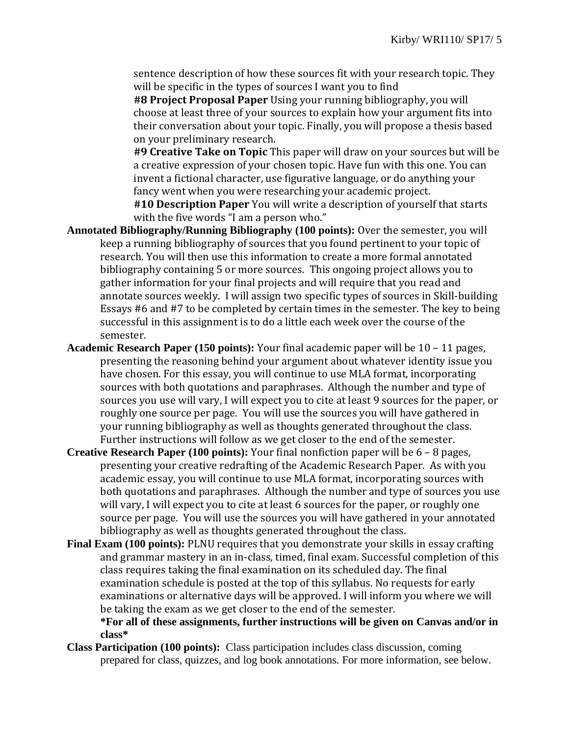sentence description of how these sources fit with your research topic. They will be specific in the types of sources I want you to find

**#8 Project Proposal Paper** Using your running bibliography, you will choose at least three of your sources to explain how your argument fits into their conversation about your topic. Finally, you will propose a thesis based on your preliminary research.

**#9 Creative Take on Topic** This paper will draw on your sources but will be a creative expression of your chosen topic. Have fun with this one. You can invent a fictional character, use figurative language, or do anything your fancy went when you were researching your academic project.

**#10 Description Paper** You will write a description of yourself that starts with the five words "I am a person who."

- **Annotated Bibliography/Running Bibliography (100 points):** Over the semester, you will keep a running bibliography of sources that you found pertinent to your topic of research. You will then use this information to create a more formal annotated bibliography containing 5 or more sources. This ongoing project allows you to gather information for your final projects and will require that you read and annotate sources weekly. I will assign two specific types of sources in Skill-building Essays #6 and #7 to be completed by certain times in the semester. The key to being successful in this assignment is to do a little each week over the course of the semester.
- **Academic Research Paper (150 points):** Your final academic paper will be 10 11 pages, presenting the reasoning behind your argument about whatever identity issue you have chosen. For this essay, you will continue to use MLA format, incorporating sources with both quotations and paraphrases. Although the number and type of sources you use will vary, I will expect you to cite at least 9 sources for the paper, or roughly one source per page. You will use the sources you will have gathered in your running bibliography as well as thoughts generated throughout the class. Further instructions will follow as we get closer to the end of the semester.
- **Creative Research Paper (100 points):** Your final nonfiction paper will be 6 8 pages, presenting your creative redrafting of the Academic Research Paper. As with you academic essay, you will continue to use MLA format, incorporating sources with both quotations and paraphrases. Although the number and type of sources you use will vary, I will expect you to cite at least 6 sources for the paper, or roughly one source per page. You will use the sources you will have gathered in your annotated bibliography as well as thoughts generated throughout the class.
- **Final Exam (100 points):** PLNU requires that you demonstrate your skills in essay crafting and grammar mastery in an in-class, timed, final exam. Successful completion of this class requires taking the final examination on its scheduled day. The final examination schedule is posted at the top of this syllabus. No requests for early examinations or alternative days will be approved. I will inform you where we will be taking the exam as we get closer to the end of the semester.

**\*For all of these assignments, further instructions will be given on Canvas and/or in class\***

**Class Participation (100 points):** Class participation includes class discussion, coming prepared for class, quizzes, and log book annotations. For more information, see below.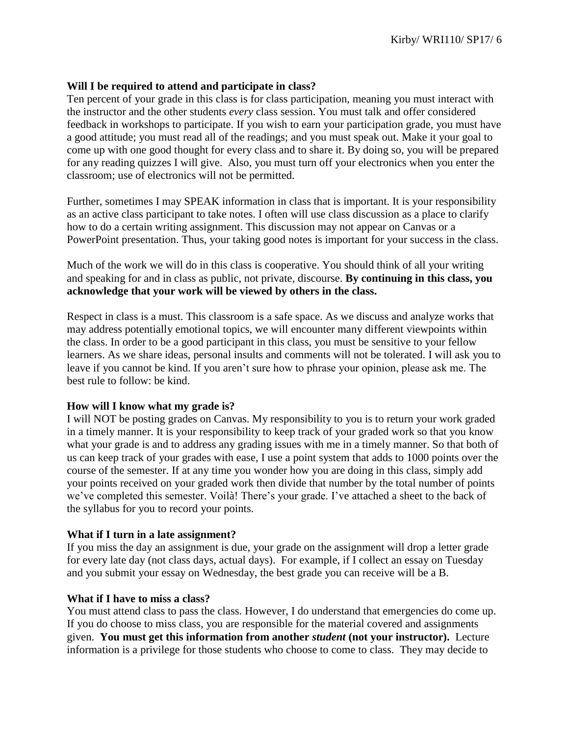#### **Will I be required to attend and participate in class?**

Ten percent of your grade in this class is for class participation, meaning you must interact with the instructor and the other students *every* class session. You must talk and offer considered feedback in workshops to participate. If you wish to earn your participation grade, you must have a good attitude; you must read all of the readings; and you must speak out. Make it your goal to come up with one good thought for every class and to share it. By doing so, you will be prepared for any reading quizzes I will give. Also, you must turn off your electronics when you enter the classroom; use of electronics will not be permitted.

Further, sometimes I may SPEAK information in class that is important. It is your responsibility as an active class participant to take notes. I often will use class discussion as a place to clarify how to do a certain writing assignment. This discussion may not appear on Canvas or a PowerPoint presentation. Thus, your taking good notes is important for your success in the class.

Much of the work we will do in this class is cooperative. You should think of all your writing and speaking for and in class as public, not private, discourse. **By continuing in this class, you acknowledge that your work will be viewed by others in the class.**

Respect in class is a must. This classroom is a safe space. As we discuss and analyze works that may address potentially emotional topics, we will encounter many different viewpoints within the class. In order to be a good participant in this class, you must be sensitive to your fellow learners. As we share ideas, personal insults and comments will not be tolerated. I will ask you to leave if you cannot be kind. If you aren't sure how to phrase your opinion, please ask me. The best rule to follow: be kind.

#### **How will I know what my grade is?**

I will NOT be posting grades on Canvas. My responsibility to you is to return your work graded in a timely manner. It is your responsibility to keep track of your graded work so that you know what your grade is and to address any grading issues with me in a timely manner. So that both of us can keep track of your grades with ease, I use a point system that adds to 1000 points over the course of the semester. If at any time you wonder how you are doing in this class, simply add your points received on your graded work then divide that number by the total number of points we've completed this semester. Voilà! There's your grade. I've attached a sheet to the back of the syllabus for you to record your points.

#### **What if I turn in a late assignment?**

If you miss the day an assignment is due, your grade on the assignment will drop a letter grade for every late day (not class days, actual days). For example, if I collect an essay on Tuesday and you submit your essay on Wednesday, the best grade you can receive will be a B.

#### **What if I have to miss a class?**

You must attend class to pass the class. However, I do understand that emergencies do come up. If you do choose to miss class, you are responsible for the material covered and assignments given. **You must get this information from another** *student* **(not your instructor).** Lecture information is a privilege for those students who choose to come to class. They may decide to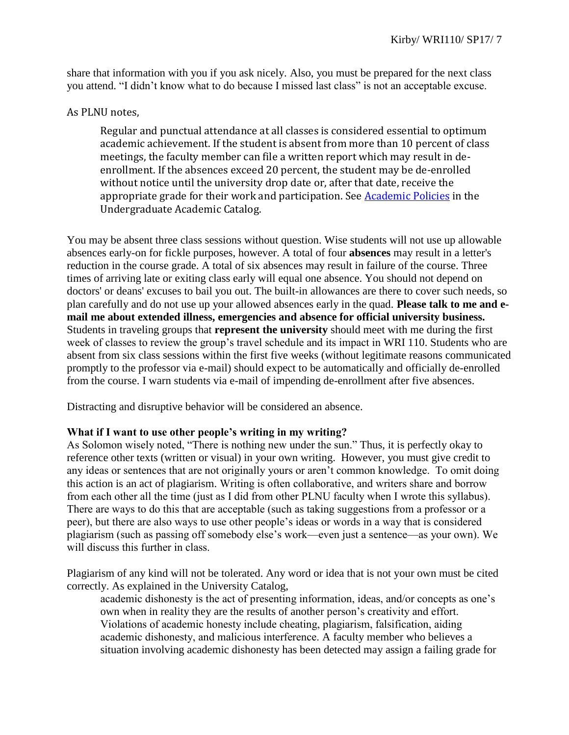share that information with you if you ask nicely. Also, you must be prepared for the next class you attend. "I didn't know what to do because I missed last class" is not an acceptable excuse.

### As PLNU notes,

Regular and punctual attendance at all classes is considered essential to optimum academic achievement. If the student is absent from more than 10 percent of class meetings, the faculty member can file a written report which may result in deenrollment. If the absences exceed 20 percent, the student may be de-enrolled without notice until the university drop date or, after that date, receive the appropriate grade for their work and participation. See [Academic Policies](http://catalog.pointloma.edu/content.php?catoid=18&navoid=1278) in the Undergraduate Academic Catalog.

You may be absent three class sessions without question. Wise students will not use up allowable absences early-on for fickle purposes, however. A total of four **absences** may result in a letter's reduction in the course grade. A total of six absences may result in failure of the course. Three times of arriving late or exiting class early will equal one absence. You should not depend on doctors' or deans' excuses to bail you out. The built-in allowances are there to cover such needs, so plan carefully and do not use up your allowed absences early in the quad. **Please talk to me and email me about extended illness, emergencies and absence for official university business.** Students in traveling groups that **represent the university** should meet with me during the first week of classes to review the group's travel schedule and its impact in WRI 110. Students who are absent from six class sessions within the first five weeks (without legitimate reasons communicated promptly to the professor via e-mail) should expect to be automatically and officially de-enrolled from the course. I warn students via e-mail of impending de-enrollment after five absences.

Distracting and disruptive behavior will be considered an absence.

## **What if I want to use other people's writing in my writing?**

As Solomon wisely noted, "There is nothing new under the sun." Thus, it is perfectly okay to reference other texts (written or visual) in your own writing. However, you must give credit to any ideas or sentences that are not originally yours or aren't common knowledge. To omit doing this action is an act of plagiarism. Writing is often collaborative, and writers share and borrow from each other all the time (just as I did from other PLNU faculty when I wrote this syllabus). There are ways to do this that are acceptable (such as taking suggestions from a professor or a peer), but there are also ways to use other people's ideas or words in a way that is considered plagiarism (such as passing off somebody else's work—even just a sentence—as your own). We will discuss this further in class.

Plagiarism of any kind will not be tolerated. Any word or idea that is not your own must be cited correctly. As explained in the University Catalog,

academic dishonesty is the act of presenting information, ideas, and/or concepts as one's own when in reality they are the results of another person's creativity and effort. Violations of academic honesty include cheating, plagiarism, falsification, aiding academic dishonesty, and malicious interference. A faculty member who believes a situation involving academic dishonesty has been detected may assign a failing grade for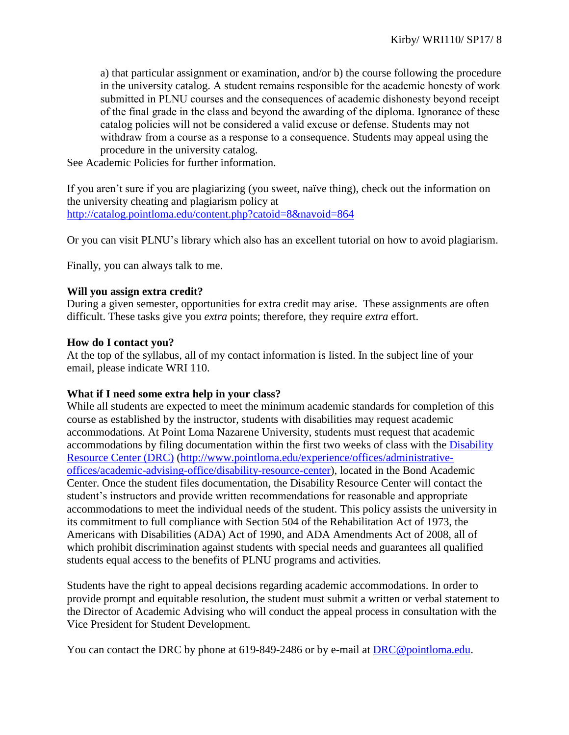a) that particular assignment or examination, and/or b) the course following the procedure in the university catalog. A student remains responsible for the academic honesty of work submitted in PLNU courses and the consequences of academic dishonesty beyond receipt of the final grade in the class and beyond the awarding of the diploma. Ignorance of these catalog policies will not be considered a valid excuse or defense. Students may not withdraw from a course as a response to a consequence. Students may appeal using the procedure in the university catalog.

See Academic Policies for further information.

If you aren't sure if you are plagiarizing (you sweet, naïve thing), check out the information on the university cheating and plagiarism policy at <http://catalog.pointloma.edu/content.php?catoid=8&navoid=864>

Or you can visit PLNU's library which also has an excellent tutorial on how to avoid plagiarism.

Finally, you can always talk to me.

#### **Will you assign extra credit?**

During a given semester, opportunities for extra credit may arise. These assignments are often difficult. These tasks give you *extra* points; therefore, they require *extra* effort.

#### **How do I contact you?**

At the top of the syllabus, all of my contact information is listed. In the subject line of your email, please indicate WRI 110.

#### **What if I need some extra help in your class?**

While all students are expected to meet the minimum academic standards for completion of this course as established by the instructor, students with disabilities may request academic accommodations. At Point Loma Nazarene University, students must request that academic accommodations by filing documentation within the first two weeks of class with the [Disability](http://www.pointloma.edu/experience/offices/administrative-offices/academic-advising-office/disability-resource-center)  [Resource Center \(DRC\)](http://www.pointloma.edu/experience/offices/administrative-offices/academic-advising-office/disability-resource-center) [\(http://www.pointloma.edu/experience/offices/administrative](http://www.pointloma.edu/experience/offices/administrative-offices/academic-advising-office/disability-resource-center)[offices/academic-advising-office/disability-resource-center\)](http://www.pointloma.edu/experience/offices/administrative-offices/academic-advising-office/disability-resource-center), located in the Bond Academic Center. Once the student files documentation, the Disability Resource Center will contact the student's instructors and provide written recommendations for reasonable and appropriate accommodations to meet the individual needs of the student. This policy assists the university in its commitment to full compliance with Section 504 of the Rehabilitation Act of 1973, the Americans with Disabilities (ADA) Act of 1990, and ADA Amendments Act of 2008, all of which prohibit discrimination against students with special needs and guarantees all qualified students equal access to the benefits of PLNU programs and activities.

Students have the right to appeal decisions regarding academic accommodations. In order to provide prompt and equitable resolution, the student must submit a written or verbal statement to the Director of Academic Advising who will conduct the appeal process in consultation with the Vice President for Student Development.

You can contact the DRC by phone at 619-849-2486 or by e-mail at **DRC@pointloma.edu.**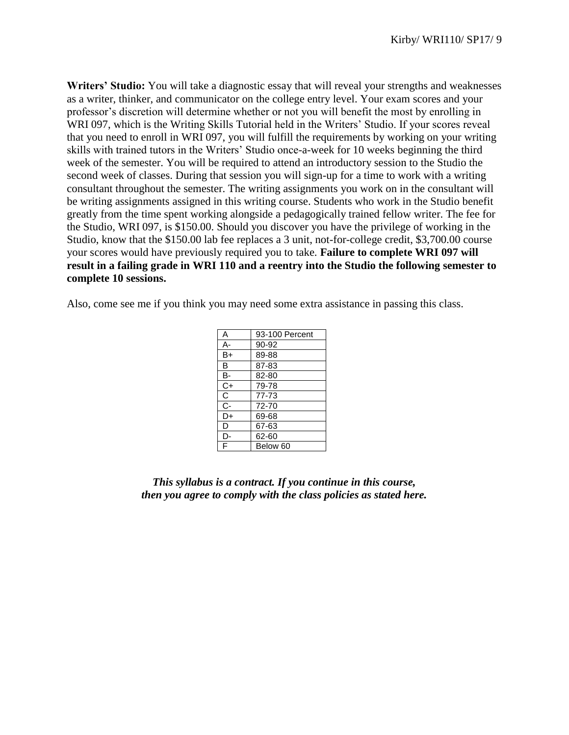**Writers' Studio:** You will take a diagnostic essay that will reveal your strengths and weaknesses as a writer, thinker, and communicator on the college entry level. Your exam scores and your professor's discretion will determine whether or not you will benefit the most by enrolling in WRI 097, which is the Writing Skills Tutorial held in the Writers' Studio. If your scores reveal that you need to enroll in WRI 097, you will fulfill the requirements by working on your writing skills with trained tutors in the Writers' Studio once-a-week for 10 weeks beginning the third week of the semester. You will be required to attend an introductory session to the Studio the second week of classes. During that session you will sign-up for a time to work with a writing consultant throughout the semester. The writing assignments you work on in the consultant will be writing assignments assigned in this writing course. Students who work in the Studio benefit greatly from the time spent working alongside a pedagogically trained fellow writer. The fee for the Studio, WRI 097, is \$150.00. Should you discover you have the privilege of working in the Studio, know that the \$150.00 lab fee replaces a 3 unit, not-for-college credit, \$3,700.00 course your scores would have previously required you to take. **Failure to complete WRI 097 will result in a failing grade in WRI 110 and a reentry into the Studio the following semester to complete 10 sessions.**

Also, come see me if you think you may need some extra assistance in passing this class.

| Α              | 93-100 Percent |
|----------------|----------------|
| А-             | 90-92          |
| B+             | 89-88          |
| В              | 87-83          |
| B-             | 82-80          |
| $C+$           | 79-78          |
| С              | 77-73          |
| $\overline{C}$ | 72-70          |
| D+             | 69-68          |
| D              | 67-63          |
| D-             | 62-60          |
| F              | Below 60       |

*This syllabus is a contract. If you continue in this course, then you agree to comply with the class policies as stated here.*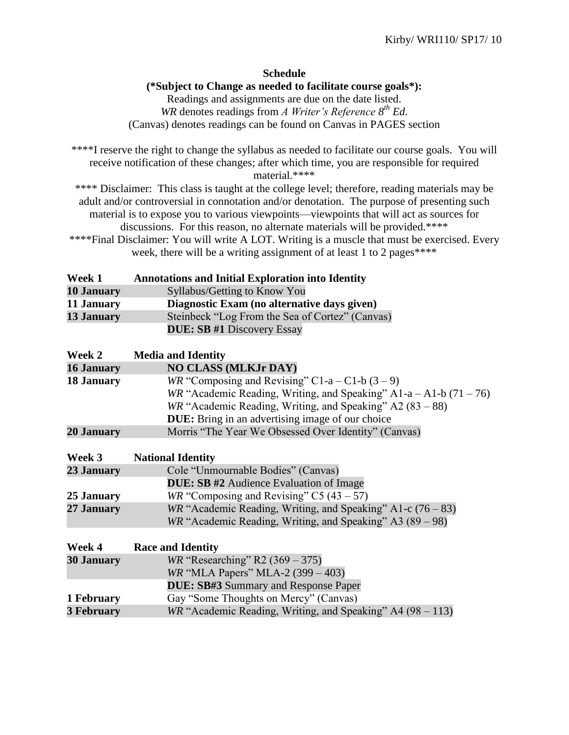#### **Schedule**

#### **(\*Subject to Change as needed to facilitate course goals\*):**

Readings and assignments are due on the date listed. *WR* denotes readings from *A Writer's Reference 8 th Ed.* (Canvas) denotes readings can be found on Canvas in PAGES section

\*\*\*\*I reserve the right to change the syllabus as needed to facilitate our course goals. You will receive notification of these changes; after which time, you are responsible for required material.\*\*\*\*

\*\*\*\* Disclaimer: This class is taught at the college level; therefore, reading materials may be adult and/or controversial in connotation and/or denotation. The purpose of presenting such material is to expose you to various viewpoints—viewpoints that will act as sources for discussions. For this reason, no alternate materials will be provided.\*\*\*\*

\*\*\*\*Final Disclaimer: You will write A LOT. Writing is a muscle that must be exercised. Every week, there will be a writing assignment of at least 1 to 2 pages\*\*\*\*

| Week 1     | <b>Annotations and Initial Exploration into Identity</b> |
|------------|----------------------------------------------------------|
| 10 January | Syllabus/Getting to Know You                             |
| 11 January | Diagnostic Exam (no alternative days given)              |
| 13 January | Steinbeck "Log From the Sea of Cortez" (Canvas)          |
|            | <b>DUE: SB #1 Discovery Essay</b>                        |

| Week 2            | <b>Media and Identity</b>                                            |
|-------------------|----------------------------------------------------------------------|
| <b>16 January</b> | <b>NO CLASS (MLKJr DAY)</b>                                          |
| <b>18 January</b> | WR "Composing and Revising" C1-a – C1-b $(3 – 9)$                    |
|                   | WR "Academic Reading, Writing, and Speaking" A1-a - A1-b $(71 - 76)$ |
|                   | WR "Academic Reading, Writing, and Speaking" $A2(83-88)$             |
|                   | <b>DUE:</b> Bring in an advertising image of our choice              |
| <b>20 January</b> | Morris "The Year We Obsessed Over Identity" (Canvas)                 |
|                   |                                                                      |
| Week 3            | <b>National Identity</b>                                             |
| 23 January        | Cole "Unmournable Bodies" (Canvas)                                   |
|                   | <b>DUE: SB #2</b> Audience Evaluation of Image                       |
| 25 January        | WR "Composing and Revising" C5 $(43 – 57)$                           |
| 27 January        | WR "Academic Reading, Writing, and Speaking" A1-c $(76 - 83)$        |
|                   | $WR$ "Academic Reading, Writing, and Speaking" A3 (89 – 98)          |
|                   |                                                                      |
| Week 4            | <b>Race and Identity</b>                                             |
| <b>30 January</b> | <i>WR</i> "Researching" R2 $(369 - 375)$                             |
|                   | <i>WR</i> "MLA Papers" MLA-2 $(399 - 403)$                           |
|                   | <b>DUE: SB#3 Summary and Response Paper</b>                          |
| 1 February        | Gay "Some Thoughts on Mercy" (Canvas)                                |
| <b>3 February</b> | $WR$ "Academic Reading, Writing, and Speaking" A4 (98 – 113)         |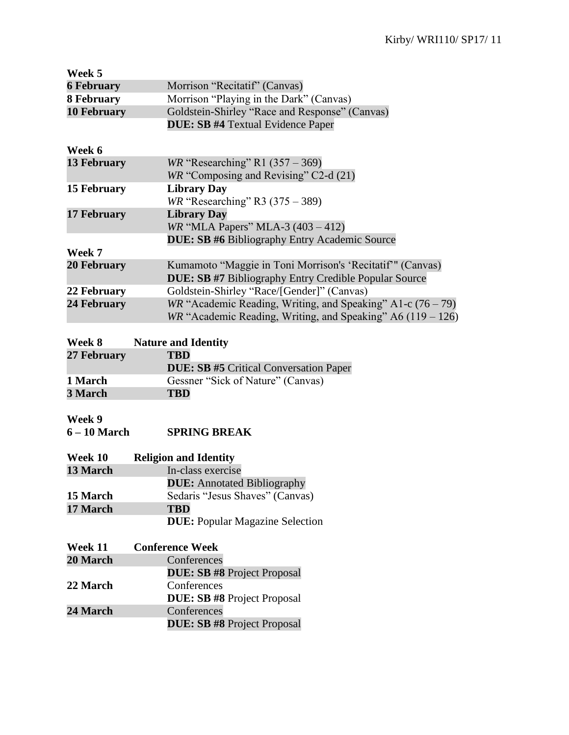| Week 5             |                                                               |
|--------------------|---------------------------------------------------------------|
| <b>6 February</b>  | Morrison "Recitatif" (Canvas)                                 |
| <b>8 February</b>  | Morrison "Playing in the Dark" (Canvas)                       |
| <b>10 February</b> | Goldstein-Shirley "Race and Response" (Canvas)                |
|                    | <b>DUE: SB #4 Textual Evidence Paper</b>                      |
| Week 6             |                                                               |
| <b>13 February</b> | <i>WR</i> "Researching" R1 $(357 – 369)$                      |
|                    | WR "Composing and Revising" C2-d (21)                         |
| 15 February        | <b>Library Day</b>                                            |
|                    | $WR$ "Researching" R3 (375 – 389)                             |
| <b>17 February</b> | <b>Library Day</b>                                            |
|                    | <i>WR</i> "MLA Papers" MLA-3 $(403 - 412)$                    |
|                    | <b>DUE: SB #6 Bibliography Entry Academic Source</b>          |
| Week 7             |                                                               |
| <b>20 February</b> | Kumamoto "Maggie in Toni Morrison's 'Recitatif'" (Canvas)     |
|                    | <b>DUE: SB #7 Bibliography Entry Credible Popular Source</b>  |
| 22 February        | Goldstein-Shirley "Race/[Gender]" (Canvas)                    |
| 24 February        | WR "Academic Reading, Writing, and Speaking" A1-c $(76 - 79)$ |
|                    | WR "Academic Reading, Writing, and Speaking" A6 $(119 - 126)$ |

#### **Week 8 Nature and Identity**<br>27 February **TBD 27 February DUE: SB #5** Critical Conversation Paper

|         | <b>DUE: SD #5</b> Critical Conversation Paper |
|---------|-----------------------------------------------|
| 1 March | Gessner "Sick of Nature" (Canvas)             |
| 3 March | <b>TBD</b>                                    |

## **Week 9**

| <b>SPRING BREAK</b><br>6 – 10 March |
|-------------------------------------|
|-------------------------------------|

| Week 10  | <b>Religion and Identity</b>           |
|----------|----------------------------------------|
| 13 March | In-class exercise                      |
|          | <b>DUE:</b> Annotated Bibliography     |
| 15 March | Sedaris "Jesus Shaves" (Canvas)        |
| 17 March | <b>TBD</b>                             |
|          | <b>DUE:</b> Popular Magazine Selection |

| Week 11         | <b>Conference Week</b>             |  |
|-----------------|------------------------------------|--|
| 20 March        | Conferences                        |  |
|                 | <b>DUE: SB #8 Project Proposal</b> |  |
| 22 March        | Conferences                        |  |
|                 | <b>DUE: SB #8 Project Proposal</b> |  |
| <b>24 March</b> | Conferences                        |  |
|                 | <b>DUE: SB #8 Project Proposal</b> |  |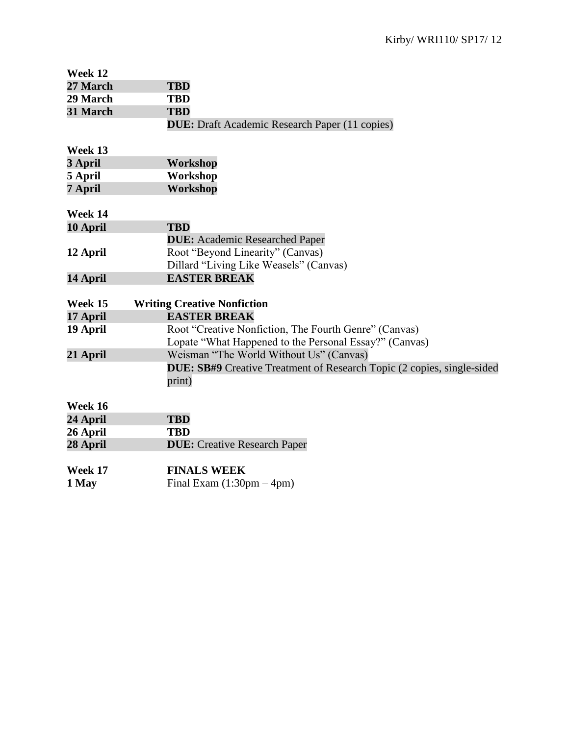| Week 12  |                                                                               |
|----------|-------------------------------------------------------------------------------|
| 27 March | <b>TBD</b>                                                                    |
| 29 March | <b>TBD</b>                                                                    |
| 31 March | <b>TBD</b>                                                                    |
|          | <b>DUE:</b> Draft Academic Research Paper (11 copies)                         |
|          |                                                                               |
| Week 13  |                                                                               |
| 3 April  | Workshop                                                                      |
| 5 April  | Workshop                                                                      |
| 7 April  | Workshop                                                                      |
|          |                                                                               |
| Week 14  |                                                                               |
| 10 April | <b>TBD</b>                                                                    |
|          | <b>DUE:</b> Academic Researched Paper                                         |
| 12 April | Root "Beyond Linearity" (Canvas)                                              |
|          | Dillard "Living Like Weasels" (Canvas)                                        |
| 14 April | <b>EASTER BREAK</b>                                                           |
|          |                                                                               |
| Week 15  | <b>Writing Creative Nonfiction</b>                                            |
| 17 April | <b>EASTER BREAK</b>                                                           |
| 19 April | Root "Creative Nonfiction, The Fourth Genre" (Canvas)                         |
|          | Lopate "What Happened to the Personal Essay?" (Canvas)                        |
| 21 April | Weisman "The World Without Us" (Canvas)                                       |
|          | <b>DUE: SB#9</b> Creative Treatment of Research Topic (2 copies, single-sided |
|          | print)                                                                        |
| Week 16  |                                                                               |
| 24 April | <b>TBD</b>                                                                    |
| 26 April | <b>TBD</b>                                                                    |
| 28 April | <b>DUE:</b> Creative Research Paper                                           |
|          |                                                                               |
| Week 17  | <b>FINALS WEEK</b>                                                            |
| 1 May    | Final Exam $(1:30 \text{pm} - 4 \text{pm})$                                   |
|          |                                                                               |